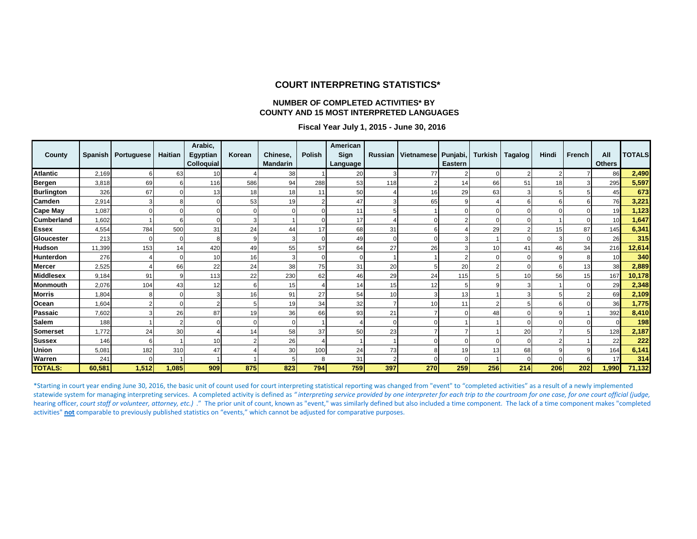#### **COURT INTERPRETING STATISTICS\***

#### **NUMBER OF COMPLETED ACTIVITIES\* BY COUNTY AND 15 MOST INTERPRETED LANGUAGES**

#### **Fiscal Year July 1, 2015 - June 30, 2016**

| County            |        | Spanish   Portuguese | <b>Haitian</b> | Arabic,<br>Egyptian<br>Colloquial | Korean | Chinese,<br><b>Mandarin</b> | Polish | American<br>Sign<br>Language | Russian | Vietnamese Punjabi, | <b>Eastern</b> | Turkish  | Tagalog        | Hindi | French | All<br><b>Others</b> | <b>TOTALS</b> |
|-------------------|--------|----------------------|----------------|-----------------------------------|--------|-----------------------------|--------|------------------------------|---------|---------------------|----------------|----------|----------------|-------|--------|----------------------|---------------|
| <b>Atlantic</b>   | 2,169  | 6                    | 63             | 10                                |        | 38                          |        | 20                           |         | 77                  |                | $\Omega$ | $\overline{c}$ |       |        | 86                   | 2,490         |
| <b>Bergen</b>     | 3,818  | 69                   |                | 116                               | 586    | 94                          | 288    | 53                           | 118     |                     | 14             | 66       | 51             | 18    |        | 295                  | 5,597         |
| <b>Burlington</b> | 326    | 67                   |                | 13                                | 18     | 18                          | 11     | 50                           |         | 16                  | 29             | 63       | 3              |       |        | 45                   | 673           |
| Camden            | 2,914  |                      |                |                                   | 53     | 19                          |        | 47                           |         | 65                  | 9              |          | 6              | 6     |        | 76                   | 3,221         |
| <b>Cape May</b>   | 1,087  |                      |                |                                   |        |                             |        | 11                           |         |                     |                | $\Omega$ |                |       |        | 19                   | 1,123         |
| <b>Cumberland</b> | 1,602  |                      |                |                                   |        |                             |        | 17                           |         |                     |                |          |                |       |        | 10                   | 1,647         |
| <b>Essex</b>      | 4,554  | 784                  | 500            | 31                                | 24     | 44                          | 17     | 68                           | 31      |                     |                | 29       | 2              | 15    | 87     | 145                  | 6,341         |
| Gloucester        | 213    |                      |                |                                   |        |                             |        | 49                           |         |                     |                |          |                |       |        | 26                   | 315           |
| <b>Hudson</b>     | 11,399 | 153                  | 14             | 420                               | 49     | 55                          | 57     | 64                           | 27      | 26                  |                | 10       | 41             | 46    | 34     | 216                  | 12,614        |
| <b>Hunterdon</b>  | 276    |                      |                | 10                                | 16     |                             |        |                              |         |                     |                |          |                |       |        | 10                   | 340           |
| <b>Mercer</b>     | 2,525  |                      | 66             | 22                                | 24     | 38                          | 75     | 31                           | 20      | 5                   | 20             | 2        |                | 6     | 13     | 38                   | 2,889         |
| <b>Middlesex</b>  | 9,184  | 91                   |                | 113                               | 22     | 230                         | 62     | 46                           | 29      | 24                  | 115            |          | 10             | 56    | 15     | 167                  | 10,178        |
| <b>Monmouth</b>   | 2,076  | 104                  | 43             | 12                                |        | 15                          |        | 14                           | 15      | 12                  |                |          |                |       |        | 29                   | 2,348         |
| <b>Morris</b>     | 1,804  |                      |                |                                   | 16     | 91                          | 27     | 54                           | 10      |                     | 13             |          |                |       |        | 69                   | 2,109         |
| Ocean             | 1,604  |                      |                |                                   |        | 19                          | 34     | 32                           |         | 10                  | 11             | 2        |                | F     |        | 36                   | 1,775         |
| Passaic           | 7,602  |                      | 26             | 87                                | 19     | 36                          | 66     | 93                           | 21      |                     |                | 48       |                |       |        | 392                  | 8,410         |
| <b>Salem</b>      | 188    |                      |                |                                   |        | $\Omega$                    |        |                              | C       |                     |                |          |                |       |        | $\Omega$             | 198           |
| <b>Somerset</b>   | 1,772  | 24                   | 30             | 4                                 | 14     | 58                          | 37     | 50                           | 23      |                     |                |          | 20             |       |        | 128                  | 2,187         |
| <b>Sussex</b>     | 146    | 6                    |                | 10                                |        | 26                          |        |                              |         |                     |                | $\Omega$ |                |       |        | 22                   | 222           |
| <b>Union</b>      | 5,081  | 182                  | 310            | 47                                |        | 30                          | 100    | 24                           | 73      |                     | 19             | 13       | 68             |       |        | 164                  | 6,141         |
| Warren            | 241    | $\Omega$             |                |                                   |        |                             | 8      | 31                           | ٠       |                     | $\Omega$       |          |                |       |        | 17                   | 314           |
| <b>TOTALS:</b>    | 60,581 | 1,512                | 1,085          | 909                               | 875    | 823                         | 794    | 759                          | 397     | 270                 | 259            | 256      | 214            | 206   | 202    | 1,990                | 71,132        |

\*Starting in court year ending June 30, 2016, the basic unit of count used for court interpreting statistical reporting was changed from "event" to "completed activities" as a result of a newly implemented statewide system for managing interpreting services. A completed activity is defined as "interpreting service provided by one interpreter for each trip to the courtroom for one case, for one court official (judge, hearing officer, *court staff or volunteer, attorney, etc.*) ." The prior unit of count, known as "event," was similarly defined but also included a time component. The lack of a time component makes "completed activities" **not** comparable to previously published statistics on "events," which cannot be adjusted for comparative purposes.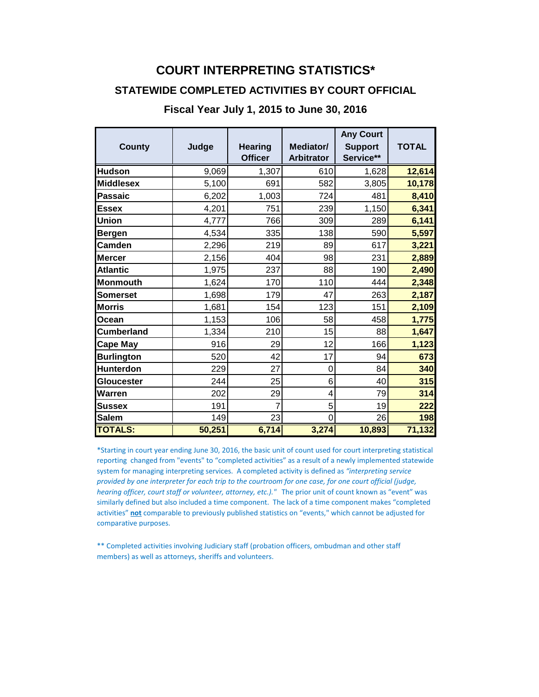# **COURT INTERPRETING STATISTICS\***

### **STATEWIDE COMPLETED ACTIVITIES BY COURT OFFICIAL**

#### **Fiscal Year July 1, 2015 to June 30, 2016**

| <b>County</b>     | Judge  | <b>Hearing</b><br><b>Officer</b> | Mediator/<br><b>Arbitrator</b> | <b>Any Court</b><br><b>Support</b><br>Service** | <b>TOTAL</b> |
|-------------------|--------|----------------------------------|--------------------------------|-------------------------------------------------|--------------|
| <b>Hudson</b>     | 9,069  | 1,307                            | 610                            | 1,628                                           | 12,614       |
| <b>Middlesex</b>  | 5,100  | 691                              | 582                            | 3,805                                           | 10,178       |
| <b>Passaic</b>    | 6,202  | 1,003                            | 724                            | 481                                             | 8,410        |
| <b>Essex</b>      | 4,201  | 751                              | 239                            | 1,150                                           | 6,341        |
| <b>Union</b>      | 4,777  | 766                              | 309                            | 289                                             | 6,141        |
| <b>Bergen</b>     | 4,534  | 335                              | 138                            | 590                                             | 5,597        |
| <b>Camden</b>     | 2,296  | 219                              | 89                             | 617                                             | 3,221        |
| <b>Mercer</b>     | 2,156  | 404                              | 98                             | 231                                             | 2,889        |
| <b>Atlantic</b>   | 1,975  | 237                              | 88                             | 190                                             | 2,490        |
| <b>Monmouth</b>   | 1,624  | 170                              | 110                            | 444                                             | 2,348        |
| <b>Somerset</b>   | 1,698  | 179                              | 47                             | 263                                             | 2,187        |
| <b>Morris</b>     | 1,681  | 154                              | 123                            | 151                                             | 2,109        |
| Ocean             | 1,153  | 106                              | 58                             | 458                                             | 1,775        |
| <b>Cumberland</b> | 1,334  | 210                              | 15                             | 88                                              | 1,647        |
| <b>Cape May</b>   | 916    | 29                               | 12                             | 166                                             | 1,123        |
| <b>Burlington</b> | 520    | 42                               | 17                             | 94                                              | 673          |
| <b>Hunterdon</b>  | 229    | 27                               | 0                              | 84                                              | 340          |
| <b>Gloucester</b> | 244    | 25                               | 6                              | 40                                              | 315          |
| Warren            | 202    | 29                               | 4                              | 79                                              | 314          |
| <b>Sussex</b>     | 191    | 7                                | 5                              | 19                                              | 222          |
| <b>Salem</b>      | 149    | 23                               | $\overline{0}$                 | 26                                              | 198          |
| <b>TOTALS:</b>    | 50,251 | 6,714                            | 3,274                          | 10,893                                          | 71,132       |

\*Starting in court year ending June 30, 2016, the basic unit of count used for court interpreting statistical reporting changed from "events" to "completed activities" as a result of a newly implemented statewide system for managing interpreting services. A completed activity is defined as *"interpreting service provided by one interpreter for each trip to the courtroom for one case, for one court official (judge, hearing officer, court staff or volunteer, attorney, etc.)."* The prior unit of count known as "event" was similarly defined but also included a time component. The lack of a time component makes "completed activities" **not** comparable to previously published statistics on "events," which cannot be adjusted for comparative purposes.

\*\* Completed activities involving Judiciary staff (probation officers, ombudman and other staff members) as well as attorneys, sheriffs and volunteers.